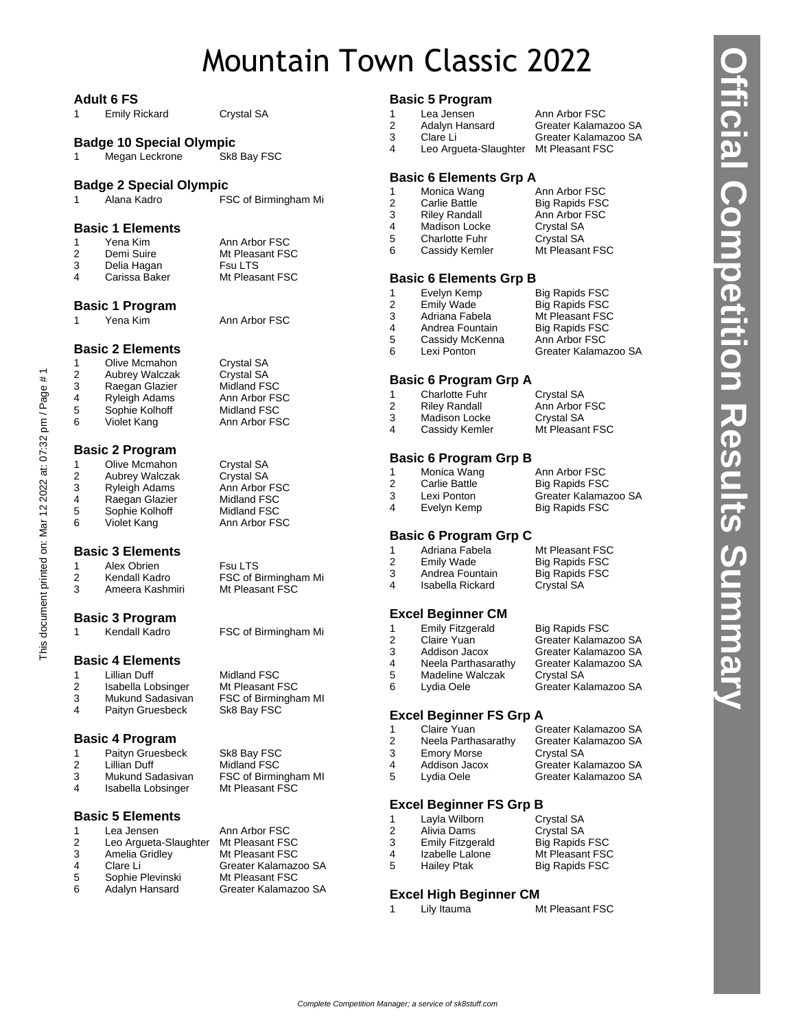# Mountain Town Classic 2022

|              | <b>Adult 6 FS</b>                |                                         |                   | <b>Basic 5 Program</b>                  |                                              |
|--------------|----------------------------------|-----------------------------------------|-------------------|-----------------------------------------|----------------------------------------------|
| 1            | <b>Emily Rickard</b>             | Crystal SA                              | $\mathbf{1}$<br>2 | Lea Jensen<br>Adalyn Hansard            | Ann Arbor FSC<br>Greater Kalamazoo SA        |
|              | <b>Badge 10 Special Olympic</b>  |                                         | 3                 | Clare Li                                | Greater Kalamazoo SA                         |
| 1            | Megan Leckrone                   | Sk8 Bay FSC                             | 4                 | Leo Argueta-Slaughter Mt Pleasant FSC   |                                              |
|              | <b>Badge 2 Special Olympic</b>   |                                         |                   | <b>Basic 6 Elements Grp A</b>           |                                              |
| $\mathbf{1}$ | Alana Kadro                      | FSC of Birmingham Mi                    | 1                 | Monica Wang                             | Ann Arbor FSC                                |
|              |                                  |                                         | 2                 | Carlie Battle                           | <b>Big Rapids FSC</b>                        |
|              |                                  |                                         | 3<br>4            | <b>Riley Randall</b><br>Madison Locke   | Ann Arbor FSC<br>Crystal SA                  |
|              | <b>Basic 1 Elements</b>          |                                         | 5                 | <b>Charlotte Fuhr</b>                   | Crystal SA                                   |
| 1<br>2       | Yena Kim<br>Demi Suire           | Ann Arbor FSC<br>Mt Pleasant FSC        | 6                 | Cassidy Kemler                          | Mt Pleasant FSC                              |
| 3            | Delia Hagan                      | <b>Fsu LTS</b>                          |                   |                                         |                                              |
| 4            | Carissa Baker                    | Mt Pleasant FSC                         |                   | <b>Basic 6 Elements Grp B</b>           |                                              |
|              |                                  |                                         | 1                 | Evelyn Kemp                             | <b>Big Rapids FSC</b>                        |
|              | <b>Basic 1 Program</b>           |                                         | 2                 | <b>Emily Wade</b>                       | <b>Big Rapids FSC</b>                        |
| 1            | Yena Kim                         | Ann Arbor FSC                           | 3<br>4            | Adriana Fabela<br>Andrea Fountain       | Mt Pleasant FSC<br><b>Big Rapids FSC</b>     |
|              |                                  |                                         | 5                 | Cassidy McKenna                         | Ann Arbor FSC                                |
|              | <b>Basic 2 Elements</b>          |                                         | 6                 | Lexi Ponton                             | Greater Kalamazoo SA                         |
| $\mathbf{1}$ | Olive Mcmahon                    | Crystal SA                              |                   |                                         |                                              |
| 2            | Aubrey Walczak                   | Crystal SA                              |                   | <b>Basic 6 Program Grp A</b>            |                                              |
| 3            | Raegan Glazier                   | Midland FSC                             | 1                 | <b>Charlotte Fuhr</b>                   | Crystal SA                                   |
| 4<br>5       | Ryleigh Adams<br>Sophie Kolhoff  | Ann Arbor FSC<br>Midland FSC            | 2                 | <b>Riley Randall</b>                    | Ann Arbor FSC                                |
| 6            | Violet Kang                      | Ann Arbor FSC                           | 3                 | Madison Locke                           | Crystal SA                                   |
|              |                                  |                                         | 4                 | Cassidy Kemler                          | Mt Pleasant FSC                              |
|              | <b>Basic 2 Program</b>           |                                         |                   |                                         |                                              |
| $\mathbf{1}$ | Olive Mcmahon                    | Crystal SA                              |                   | <b>Basic 6 Program Grp B</b>            |                                              |
| 2            | Aubrey Walczak                   | Crystal SA                              | 1<br>2            | Monica Wang<br>Carlie Battle            | Ann Arbor FSC<br><b>Big Rapids FSC</b>       |
| 3            | Ryleigh Adams                    | Ann Arbor FSC                           | 3                 | Lexi Ponton                             | Greater Kalamazoo SA                         |
| 4<br>5       | Raegan Glazier                   | Midland FSC                             | 4                 | Evelyn Kemp                             | <b>Big Rapids FSC</b>                        |
| 6            | Sophie Kolhoff<br>Violet Kang    | Midland FSC<br>Ann Arbor FSC            |                   |                                         |                                              |
|              |                                  |                                         |                   | <b>Basic 6 Program Grp C</b>            |                                              |
|              | <b>Basic 3 Elements</b>          |                                         | 1                 | Adriana Fabela                          | Mt Pleasant FSC                              |
| $\mathbf{1}$ | Alex Obrien                      | <b>Fsu LTS</b>                          | 2                 | <b>Emily Wade</b>                       | <b>Big Rapids FSC</b>                        |
| 2            | Kendall Kadro                    | FSC of Birmingham Mi                    | 3<br>4            | Andrea Fountain                         | <b>Big Rapids FSC</b>                        |
| 3            | Ameera Kashmiri                  | Mt Pleasant FSC                         |                   | Isabella Rickard                        | Crystal SA                                   |
|              | <b>Basic 3 Program</b>           |                                         |                   | <b>Excel Beginner CM</b>                |                                              |
| 1            | Kendall Kadro                    | FSC of Birmingham Mi                    | 1                 | <b>Emily Fitzgerald</b>                 | <b>Big Rapids FSC</b>                        |
|              |                                  |                                         | 2                 | Claire Yuan                             | Greater Kalamazoo SA                         |
|              | <b>Basic 4 Elements</b>          |                                         | 3                 | Addison Jacox                           | Greater Kalamazoo SA                         |
|              | 1 Lillian Duff                   | Midland FSC                             | 4<br>5            | Neela Parthasarathy<br>Madeline Walczak | Greater Kalamazoo SA<br>Crystal SA           |
| 2            | Isabella Lobsinger               | Mt Pleasant FSC                         | 6                 | Lydia Oele                              | Greater Kalamazoo SA                         |
| 3            | Mukund Sadasivan                 | FSC of Birmingham MI                    |                   |                                         |                                              |
| 4            | Paityn Gruesbeck                 | Sk8 Bay FSC                             |                   | <b>Excel Beginner FS Grp A</b>          |                                              |
|              |                                  |                                         | 1                 | Claire Yuan                             | Greater Kalamazoo SA                         |
|              | <b>Basic 4 Program</b>           |                                         | 2                 | Neela Parthasarathy                     | Greater Kalamazoo SA                         |
| 1            | Paityn Gruesbeck                 | Sk8 Bay FSC                             | 3                 | <b>Emory Morse</b>                      | Crystal SA                                   |
| 2<br>3       | Lillian Duff<br>Mukund Sadasivan | Midland FSC<br>FSC of Birmingham MI     | 4<br>5            | Addison Jacox<br>Lydia Oele             | Greater Kalamazoo SA<br>Greater Kalamazoo SA |
| 4            | Isabella Lobsinger               | Mt Pleasant FSC                         |                   |                                         |                                              |
|              |                                  |                                         |                   | <b>Excel Beginner FS Grp B</b>          |                                              |
|              | <b>Basic 5 Elements</b>          |                                         | 1                 | Layla Wilborn                           | Crystal SA                                   |
| 1            | Lea Jensen                       | Ann Arbor FSC                           | 2                 | Alivia Dams                             | Crystal SA                                   |
| 2            | Leo Argueta-Slaughter            | Mt Pleasant FSC                         | 3                 | <b>Emily Fitzgerald</b>                 | <b>Big Rapids FSC</b>                        |
| 3            | Amelia Gridley                   | Mt Pleasant FSC                         | 4                 | Izabelle Lalone                         | Mt Pleasant FSC                              |
| 4<br>5       | Clare Li<br>Sophie Plevinski     | Greater Kalamazoo SA<br>Mt Pleasant FSC | 5                 | <b>Hailey Ptak</b>                      | Big Rapids FSC                               |
| 6            | Adalyn Hansard                   | Greater Kalamazoo SA                    |                   | <b>Eveal High Reginner CM</b>           |                                              |

This document printed on: Mar 12 2022 at: 07:32 pm / Page # 1

This document printed on: Mar 12 2022 at: 07:32 pm / Page # 1

**Official Competition Results Summary**

**Official Competition Results Summary** 

**Excel High Beginner CM**<br>1 Lily Itauma

1 Lily Itauma Mt Pleasant FSC